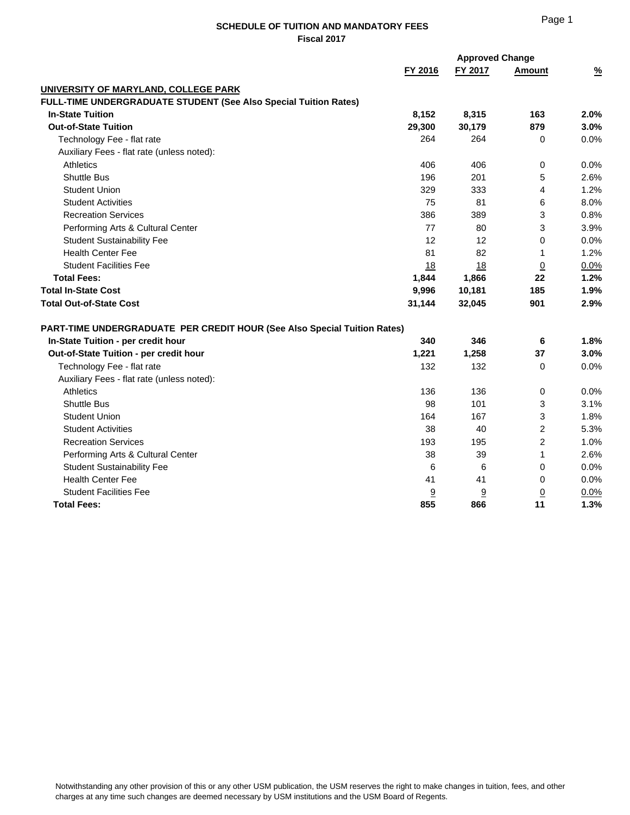|                                                                          | <b>Approved Change</b> |         |                |               |
|--------------------------------------------------------------------------|------------------------|---------|----------------|---------------|
|                                                                          | FY 2016                | FY 2017 | Amount         | $\frac{9}{6}$ |
| UNIVERSITY OF MARYLAND, COLLEGE PARK                                     |                        |         |                |               |
| FULL-TIME UNDERGRADUATE STUDENT (See Also Special Tuition Rates)         |                        |         |                |               |
| <b>In-State Tuition</b>                                                  | 8,152                  | 8,315   | 163            | 2.0%          |
| <b>Out-of-State Tuition</b>                                              | 29,300                 | 30,179  | 879            | 3.0%          |
| Technology Fee - flat rate                                               | 264                    | 264     | 0              | 0.0%          |
| Auxiliary Fees - flat rate (unless noted):                               |                        |         |                |               |
| <b>Athletics</b>                                                         | 406                    | 406     | 0              | 0.0%          |
| <b>Shuttle Bus</b>                                                       | 196                    | 201     | 5              | 2.6%          |
| <b>Student Union</b>                                                     | 329                    | 333     | 4              | 1.2%          |
| <b>Student Activities</b>                                                | 75                     | 81      | 6              | 8.0%          |
| <b>Recreation Services</b>                                               | 386                    | 389     | 3              | 0.8%          |
| Performing Arts & Cultural Center                                        | 77                     | 80      | 3              | 3.9%          |
| <b>Student Sustainability Fee</b>                                        | 12                     | 12      | 0              | 0.0%          |
| <b>Health Center Fee</b>                                                 | 81                     | 82      | 1              | 1.2%          |
| <b>Student Facilities Fee</b>                                            | 18                     | 18      | $\overline{0}$ | 0.0%          |
| <b>Total Fees:</b>                                                       | 1,844                  | 1,866   | 22             | 1.2%          |
| <b>Total In-State Cost</b>                                               | 9,996                  | 10,181  | 185            | 1.9%          |
| <b>Total Out-of-State Cost</b>                                           | 31,144                 | 32,045  | 901            | 2.9%          |
| PART-TIME UNDERGRADUATE PER CREDIT HOUR (See Also Special Tuition Rates) |                        |         |                |               |
| In-State Tuition - per credit hour                                       | 340                    | 346     | 6              | 1.8%          |
| Out-of-State Tuition - per credit hour                                   | 1,221                  | 1,258   | 37             | 3.0%          |
| Technology Fee - flat rate                                               | 132                    | 132     | 0              | 0.0%          |
| Auxiliary Fees - flat rate (unless noted):                               |                        |         |                |               |
| <b>Athletics</b>                                                         | 136                    | 136     | $\mathbf 0$    | 0.0%          |
| <b>Shuttle Bus</b>                                                       | 98                     | 101     | 3              | 3.1%          |
| <b>Student Union</b>                                                     | 164                    | 167     | 3              | 1.8%          |
| <b>Student Activities</b>                                                | 38                     | 40      | $\overline{2}$ | 5.3%          |
| <b>Recreation Services</b>                                               | 193                    | 195     | $\overline{2}$ | 1.0%          |
| Performing Arts & Cultural Center                                        | 38                     | 39      | 1              | 2.6%          |
| <b>Student Sustainability Fee</b>                                        | 6                      | 6       | 0              | 0.0%          |
| <b>Health Center Fee</b>                                                 | 41                     | 41      | 0              | 0.0%          |
| <b>Student Facilities Fee</b>                                            | 9                      | 9       | <u>0</u>       | 0.0%          |
| <b>Total Fees:</b>                                                       | 855                    | 866     | 11             | 1.3%          |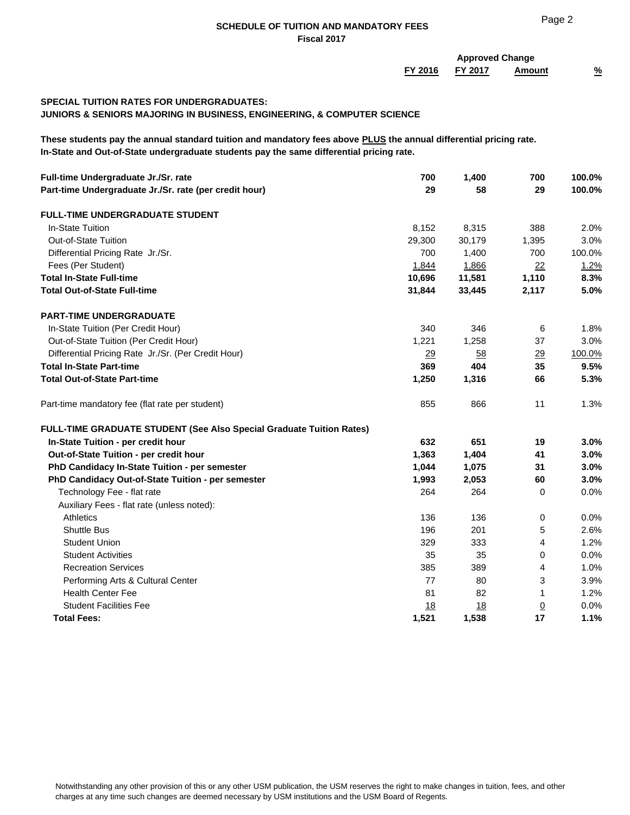| FY 2017<br>FY 2016<br>Amount<br><b>SPECIAL TUITION RATES FOR UNDERGRADUATES:</b><br>JUNIORS & SENIORS MAJORING IN BUSINESS, ENGINEERING, & COMPUTER SCIENCE<br>These students pay the annual standard tuition and mandatory fees above PLUS the annual differential pricing rate.<br>In-State and Out-of-State undergraduate students pay the same differential pricing rate.<br>Full-time Undergraduate Jr./Sr. rate<br>700<br>1,400<br>700<br>29<br>29<br>Part-time Undergraduate Jr./Sr. rate (per credit hour)<br>58<br><b>FULL-TIME UNDERGRADUATE STUDENT</b><br>In-State Tuition<br>388<br>8,315<br>8,152<br><b>Out-of-State Tuition</b><br>29,300<br>30,179<br>1,395<br>700<br>Differential Pricing Rate Jr./Sr.<br>1,400<br>700<br>Fees (Per Student)<br>1,866<br>1,844<br>22<br>11,581<br>1,110<br><b>Total In-State Full-time</b><br>10,696<br><b>Total Out-of-State Full-time</b><br>31,844<br>33,445<br>2,117<br><b>PART-TIME UNDERGRADUATE</b><br>In-State Tuition (Per Credit Hour)<br>340<br>346<br>6<br>Out-of-State Tuition (Per Credit Hour)<br>1,221<br>1,258<br>37<br>Differential Pricing Rate Jr./Sr. (Per Credit Hour)<br>58<br>29<br>29<br><b>Total In-State Part-time</b><br>404<br>369<br>35<br><b>Total Out-of-State Part-time</b><br>1,250<br>1,316<br>66<br>855<br>866<br>11<br>Part-time mandatory fee (flat rate per student)<br>FULL-TIME GRADUATE STUDENT (See Also Special Graduate Tuition Rates)<br>In-State Tuition - per credit hour<br>632<br>651<br>19<br>1,404<br>Out-of-State Tuition - per credit hour<br>1,363<br>41<br>PhD Candidacy In-State Tuition - per semester<br>1,075<br>1,044<br>31<br>PhD Candidacy Out-of-State Tuition - per semester<br>1,993<br>2,053<br>60<br>Technology Fee - flat rate<br>264<br>264<br>0<br>Auxiliary Fees - flat rate (unless noted):<br><b>Athletics</b><br>136<br>136<br>0<br><b>Shuttle Bus</b><br>196<br>201<br>5<br><b>Student Union</b><br>329<br>333<br>4<br>35<br><b>Student Activities</b><br>35<br>0<br><b>Recreation Services</b><br>385<br>389<br>4<br>Performing Arts & Cultural Center<br>77<br>80<br>3<br><b>Health Center Fee</b><br>81<br>82<br>1<br><b>Student Facilities Fee</b><br>18<br><u>18</u><br>$\overline{0}$ |                    |       | <b>Approved Change</b> |    |               |  |
|--------------------------------------------------------------------------------------------------------------------------------------------------------------------------------------------------------------------------------------------------------------------------------------------------------------------------------------------------------------------------------------------------------------------------------------------------------------------------------------------------------------------------------------------------------------------------------------------------------------------------------------------------------------------------------------------------------------------------------------------------------------------------------------------------------------------------------------------------------------------------------------------------------------------------------------------------------------------------------------------------------------------------------------------------------------------------------------------------------------------------------------------------------------------------------------------------------------------------------------------------------------------------------------------------------------------------------------------------------------------------------------------------------------------------------------------------------------------------------------------------------------------------------------------------------------------------------------------------------------------------------------------------------------------------------------------------------------------------------------------------------------------------------------------------------------------------------------------------------------------------------------------------------------------------------------------------------------------------------------------------------------------------------------------------------------------------------------------------------------------------------------------------------------------------------------------------------------------------|--------------------|-------|------------------------|----|---------------|--|
|                                                                                                                                                                                                                                                                                                                                                                                                                                                                                                                                                                                                                                                                                                                                                                                                                                                                                                                                                                                                                                                                                                                                                                                                                                                                                                                                                                                                                                                                                                                                                                                                                                                                                                                                                                                                                                                                                                                                                                                                                                                                                                                                                                                                                          |                    |       |                        |    | $\frac{9}{6}$ |  |
|                                                                                                                                                                                                                                                                                                                                                                                                                                                                                                                                                                                                                                                                                                                                                                                                                                                                                                                                                                                                                                                                                                                                                                                                                                                                                                                                                                                                                                                                                                                                                                                                                                                                                                                                                                                                                                                                                                                                                                                                                                                                                                                                                                                                                          |                    |       |                        |    |               |  |
|                                                                                                                                                                                                                                                                                                                                                                                                                                                                                                                                                                                                                                                                                                                                                                                                                                                                                                                                                                                                                                                                                                                                                                                                                                                                                                                                                                                                                                                                                                                                                                                                                                                                                                                                                                                                                                                                                                                                                                                                                                                                                                                                                                                                                          |                    |       |                        |    |               |  |
|                                                                                                                                                                                                                                                                                                                                                                                                                                                                                                                                                                                                                                                                                                                                                                                                                                                                                                                                                                                                                                                                                                                                                                                                                                                                                                                                                                                                                                                                                                                                                                                                                                                                                                                                                                                                                                                                                                                                                                                                                                                                                                                                                                                                                          |                    |       |                        |    |               |  |
|                                                                                                                                                                                                                                                                                                                                                                                                                                                                                                                                                                                                                                                                                                                                                                                                                                                                                                                                                                                                                                                                                                                                                                                                                                                                                                                                                                                                                                                                                                                                                                                                                                                                                                                                                                                                                                                                                                                                                                                                                                                                                                                                                                                                                          |                    |       |                        |    | 100.0%        |  |
|                                                                                                                                                                                                                                                                                                                                                                                                                                                                                                                                                                                                                                                                                                                                                                                                                                                                                                                                                                                                                                                                                                                                                                                                                                                                                                                                                                                                                                                                                                                                                                                                                                                                                                                                                                                                                                                                                                                                                                                                                                                                                                                                                                                                                          |                    |       |                        |    | 100.0%        |  |
|                                                                                                                                                                                                                                                                                                                                                                                                                                                                                                                                                                                                                                                                                                                                                                                                                                                                                                                                                                                                                                                                                                                                                                                                                                                                                                                                                                                                                                                                                                                                                                                                                                                                                                                                                                                                                                                                                                                                                                                                                                                                                                                                                                                                                          |                    |       |                        |    |               |  |
|                                                                                                                                                                                                                                                                                                                                                                                                                                                                                                                                                                                                                                                                                                                                                                                                                                                                                                                                                                                                                                                                                                                                                                                                                                                                                                                                                                                                                                                                                                                                                                                                                                                                                                                                                                                                                                                                                                                                                                                                                                                                                                                                                                                                                          |                    |       |                        |    | 2.0%          |  |
|                                                                                                                                                                                                                                                                                                                                                                                                                                                                                                                                                                                                                                                                                                                                                                                                                                                                                                                                                                                                                                                                                                                                                                                                                                                                                                                                                                                                                                                                                                                                                                                                                                                                                                                                                                                                                                                                                                                                                                                                                                                                                                                                                                                                                          |                    |       |                        |    | 3.0%          |  |
|                                                                                                                                                                                                                                                                                                                                                                                                                                                                                                                                                                                                                                                                                                                                                                                                                                                                                                                                                                                                                                                                                                                                                                                                                                                                                                                                                                                                                                                                                                                                                                                                                                                                                                                                                                                                                                                                                                                                                                                                                                                                                                                                                                                                                          |                    |       |                        |    | 100.0%        |  |
|                                                                                                                                                                                                                                                                                                                                                                                                                                                                                                                                                                                                                                                                                                                                                                                                                                                                                                                                                                                                                                                                                                                                                                                                                                                                                                                                                                                                                                                                                                                                                                                                                                                                                                                                                                                                                                                                                                                                                                                                                                                                                                                                                                                                                          |                    |       |                        |    | 1.2%          |  |
|                                                                                                                                                                                                                                                                                                                                                                                                                                                                                                                                                                                                                                                                                                                                                                                                                                                                                                                                                                                                                                                                                                                                                                                                                                                                                                                                                                                                                                                                                                                                                                                                                                                                                                                                                                                                                                                                                                                                                                                                                                                                                                                                                                                                                          |                    |       |                        |    | 8.3%          |  |
|                                                                                                                                                                                                                                                                                                                                                                                                                                                                                                                                                                                                                                                                                                                                                                                                                                                                                                                                                                                                                                                                                                                                                                                                                                                                                                                                                                                                                                                                                                                                                                                                                                                                                                                                                                                                                                                                                                                                                                                                                                                                                                                                                                                                                          |                    |       |                        |    | 5.0%          |  |
|                                                                                                                                                                                                                                                                                                                                                                                                                                                                                                                                                                                                                                                                                                                                                                                                                                                                                                                                                                                                                                                                                                                                                                                                                                                                                                                                                                                                                                                                                                                                                                                                                                                                                                                                                                                                                                                                                                                                                                                                                                                                                                                                                                                                                          |                    |       |                        |    |               |  |
|                                                                                                                                                                                                                                                                                                                                                                                                                                                                                                                                                                                                                                                                                                                                                                                                                                                                                                                                                                                                                                                                                                                                                                                                                                                                                                                                                                                                                                                                                                                                                                                                                                                                                                                                                                                                                                                                                                                                                                                                                                                                                                                                                                                                                          |                    |       |                        |    | 1.8%          |  |
|                                                                                                                                                                                                                                                                                                                                                                                                                                                                                                                                                                                                                                                                                                                                                                                                                                                                                                                                                                                                                                                                                                                                                                                                                                                                                                                                                                                                                                                                                                                                                                                                                                                                                                                                                                                                                                                                                                                                                                                                                                                                                                                                                                                                                          |                    |       |                        |    | 3.0%          |  |
|                                                                                                                                                                                                                                                                                                                                                                                                                                                                                                                                                                                                                                                                                                                                                                                                                                                                                                                                                                                                                                                                                                                                                                                                                                                                                                                                                                                                                                                                                                                                                                                                                                                                                                                                                                                                                                                                                                                                                                                                                                                                                                                                                                                                                          |                    |       |                        |    | 100.0%        |  |
|                                                                                                                                                                                                                                                                                                                                                                                                                                                                                                                                                                                                                                                                                                                                                                                                                                                                                                                                                                                                                                                                                                                                                                                                                                                                                                                                                                                                                                                                                                                                                                                                                                                                                                                                                                                                                                                                                                                                                                                                                                                                                                                                                                                                                          |                    |       |                        |    | 9.5%          |  |
|                                                                                                                                                                                                                                                                                                                                                                                                                                                                                                                                                                                                                                                                                                                                                                                                                                                                                                                                                                                                                                                                                                                                                                                                                                                                                                                                                                                                                                                                                                                                                                                                                                                                                                                                                                                                                                                                                                                                                                                                                                                                                                                                                                                                                          |                    |       |                        |    | 5.3%          |  |
|                                                                                                                                                                                                                                                                                                                                                                                                                                                                                                                                                                                                                                                                                                                                                                                                                                                                                                                                                                                                                                                                                                                                                                                                                                                                                                                                                                                                                                                                                                                                                                                                                                                                                                                                                                                                                                                                                                                                                                                                                                                                                                                                                                                                                          |                    |       |                        |    | 1.3%          |  |
|                                                                                                                                                                                                                                                                                                                                                                                                                                                                                                                                                                                                                                                                                                                                                                                                                                                                                                                                                                                                                                                                                                                                                                                                                                                                                                                                                                                                                                                                                                                                                                                                                                                                                                                                                                                                                                                                                                                                                                                                                                                                                                                                                                                                                          |                    |       |                        |    |               |  |
|                                                                                                                                                                                                                                                                                                                                                                                                                                                                                                                                                                                                                                                                                                                                                                                                                                                                                                                                                                                                                                                                                                                                                                                                                                                                                                                                                                                                                                                                                                                                                                                                                                                                                                                                                                                                                                                                                                                                                                                                                                                                                                                                                                                                                          |                    |       |                        |    | 3.0%          |  |
|                                                                                                                                                                                                                                                                                                                                                                                                                                                                                                                                                                                                                                                                                                                                                                                                                                                                                                                                                                                                                                                                                                                                                                                                                                                                                                                                                                                                                                                                                                                                                                                                                                                                                                                                                                                                                                                                                                                                                                                                                                                                                                                                                                                                                          |                    |       |                        |    | 3.0%          |  |
|                                                                                                                                                                                                                                                                                                                                                                                                                                                                                                                                                                                                                                                                                                                                                                                                                                                                                                                                                                                                                                                                                                                                                                                                                                                                                                                                                                                                                                                                                                                                                                                                                                                                                                                                                                                                                                                                                                                                                                                                                                                                                                                                                                                                                          |                    |       |                        |    | 3.0%          |  |
|                                                                                                                                                                                                                                                                                                                                                                                                                                                                                                                                                                                                                                                                                                                                                                                                                                                                                                                                                                                                                                                                                                                                                                                                                                                                                                                                                                                                                                                                                                                                                                                                                                                                                                                                                                                                                                                                                                                                                                                                                                                                                                                                                                                                                          |                    |       |                        |    | 3.0%          |  |
|                                                                                                                                                                                                                                                                                                                                                                                                                                                                                                                                                                                                                                                                                                                                                                                                                                                                                                                                                                                                                                                                                                                                                                                                                                                                                                                                                                                                                                                                                                                                                                                                                                                                                                                                                                                                                                                                                                                                                                                                                                                                                                                                                                                                                          |                    |       |                        |    | 0.0%          |  |
|                                                                                                                                                                                                                                                                                                                                                                                                                                                                                                                                                                                                                                                                                                                                                                                                                                                                                                                                                                                                                                                                                                                                                                                                                                                                                                                                                                                                                                                                                                                                                                                                                                                                                                                                                                                                                                                                                                                                                                                                                                                                                                                                                                                                                          |                    |       |                        |    |               |  |
|                                                                                                                                                                                                                                                                                                                                                                                                                                                                                                                                                                                                                                                                                                                                                                                                                                                                                                                                                                                                                                                                                                                                                                                                                                                                                                                                                                                                                                                                                                                                                                                                                                                                                                                                                                                                                                                                                                                                                                                                                                                                                                                                                                                                                          |                    |       |                        |    | 0.0%          |  |
|                                                                                                                                                                                                                                                                                                                                                                                                                                                                                                                                                                                                                                                                                                                                                                                                                                                                                                                                                                                                                                                                                                                                                                                                                                                                                                                                                                                                                                                                                                                                                                                                                                                                                                                                                                                                                                                                                                                                                                                                                                                                                                                                                                                                                          |                    |       |                        |    | 2.6%          |  |
|                                                                                                                                                                                                                                                                                                                                                                                                                                                                                                                                                                                                                                                                                                                                                                                                                                                                                                                                                                                                                                                                                                                                                                                                                                                                                                                                                                                                                                                                                                                                                                                                                                                                                                                                                                                                                                                                                                                                                                                                                                                                                                                                                                                                                          |                    |       |                        |    | 1.2%          |  |
|                                                                                                                                                                                                                                                                                                                                                                                                                                                                                                                                                                                                                                                                                                                                                                                                                                                                                                                                                                                                                                                                                                                                                                                                                                                                                                                                                                                                                                                                                                                                                                                                                                                                                                                                                                                                                                                                                                                                                                                                                                                                                                                                                                                                                          |                    |       |                        |    | 0.0%          |  |
|                                                                                                                                                                                                                                                                                                                                                                                                                                                                                                                                                                                                                                                                                                                                                                                                                                                                                                                                                                                                                                                                                                                                                                                                                                                                                                                                                                                                                                                                                                                                                                                                                                                                                                                                                                                                                                                                                                                                                                                                                                                                                                                                                                                                                          |                    |       |                        |    | 1.0%          |  |
|                                                                                                                                                                                                                                                                                                                                                                                                                                                                                                                                                                                                                                                                                                                                                                                                                                                                                                                                                                                                                                                                                                                                                                                                                                                                                                                                                                                                                                                                                                                                                                                                                                                                                                                                                                                                                                                                                                                                                                                                                                                                                                                                                                                                                          |                    |       |                        |    | 3.9%          |  |
|                                                                                                                                                                                                                                                                                                                                                                                                                                                                                                                                                                                                                                                                                                                                                                                                                                                                                                                                                                                                                                                                                                                                                                                                                                                                                                                                                                                                                                                                                                                                                                                                                                                                                                                                                                                                                                                                                                                                                                                                                                                                                                                                                                                                                          |                    |       |                        |    | 1.2%          |  |
|                                                                                                                                                                                                                                                                                                                                                                                                                                                                                                                                                                                                                                                                                                                                                                                                                                                                                                                                                                                                                                                                                                                                                                                                                                                                                                                                                                                                                                                                                                                                                                                                                                                                                                                                                                                                                                                                                                                                                                                                                                                                                                                                                                                                                          |                    |       |                        |    | 0.0%          |  |
|                                                                                                                                                                                                                                                                                                                                                                                                                                                                                                                                                                                                                                                                                                                                                                                                                                                                                                                                                                                                                                                                                                                                                                                                                                                                                                                                                                                                                                                                                                                                                                                                                                                                                                                                                                                                                                                                                                                                                                                                                                                                                                                                                                                                                          | <b>Total Fees:</b> | 1,521 | 1,538                  | 17 | 1.1%          |  |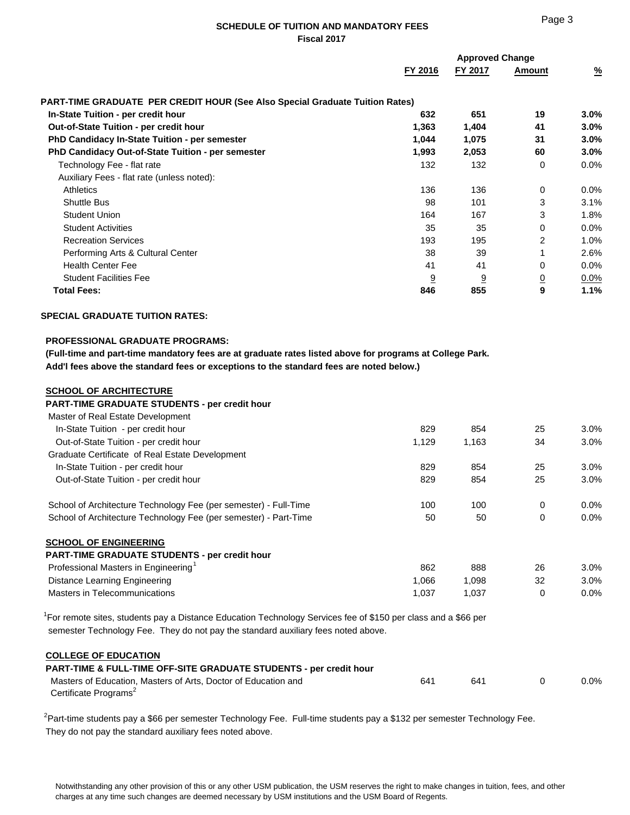|                                                                                     |         | <b>Approved Change</b> |                |               |  |
|-------------------------------------------------------------------------------------|---------|------------------------|----------------|---------------|--|
|                                                                                     | FY 2016 | FY 2017                | Amount         | $\frac{9}{6}$ |  |
| <b>PART-TIME GRADUATE PER CREDIT HOUR (See Also Special Graduate Tuition Rates)</b> |         |                        |                |               |  |
| In-State Tuition - per credit hour                                                  | 632     | 651                    | 19             | 3.0%          |  |
| <b>Out-of-State Tuition - per credit hour</b>                                       | 1,363   | 1,404                  | 41             | 3.0%          |  |
| PhD Candidacy In-State Tuition - per semester                                       | 1,044   | 1,075                  | 31             | $3.0\%$       |  |
| PhD Candidacy Out-of-State Tuition - per semester                                   | 1,993   | 2,053                  | 60             | $3.0\%$       |  |
| Technology Fee - flat rate                                                          | 132     | 132                    | $\Omega$       | 0.0%          |  |
| Auxiliary Fees - flat rate (unless noted):                                          |         |                        |                |               |  |
| <b>Athletics</b>                                                                    | 136     | 136                    | $\mathbf 0$    | 0.0%          |  |
| <b>Shuttle Bus</b>                                                                  | 98      | 101                    | 3              | 3.1%          |  |
| <b>Student Union</b>                                                                | 164     | 167                    | 3              | 1.8%          |  |
| <b>Student Activities</b>                                                           | 35      | 35                     | $\Omega$       | 0.0%          |  |
| <b>Recreation Services</b>                                                          | 193     | 195                    | 2              | 1.0%          |  |
| Performing Arts & Cultural Center                                                   | 38      | 39                     |                | 2.6%          |  |
| <b>Health Center Fee</b>                                                            | 41      | 41                     | 0              | 0.0%          |  |
| <b>Student Facilities Fee</b>                                                       | 9       | <u>9</u>               | $\overline{0}$ | 0.0%          |  |
| <b>Total Fees:</b>                                                                  | 846     | 855                    | 9              | 1.1%          |  |

## **SPECIAL GRADUATE TUITION RATES:**

# **PROFESSIONAL GRADUATE PROGRAMS:**

 **(Full-time and part-time mandatory fees are at graduate rates listed above for programs at College Park. Add'l fees above the standard fees or exceptions to the standard fees are noted below.)**

#### **SCHOOL OF ARCHITECTURE**

 **PART-TIME GRADUATE STUDENTS - per credit hour** Master of Real Estate Development In-State Tuition - per credit hour and the state of the state of the state and the state of the state of the state of the state of the state of the state of the state of the state of the state of the state of the state of Out-of-State Tuition - per credit hour 1,129 1,163 30% Graduate Certificate of Real Estate Development In-State Tuition - per credit hour and the state of the state of the state of the state of the state of the state of the state of the state of the state of the state of the state of the state of the state of the state of t Out-of-State Tuition - per credit hour and the state of the state of the state of the state of the state of the state of the state of the state of the state of the state of the state of the state of the state of the state

School of Architecture Technology Fee (per semester) - Full-Time 100 100 100 0 0.0% School of Architecture Technology Fee (per semester) - Part-Time 50 50 50 0 0.0%

# **SCHOOL OF ENGINEERING**

| <b>PART-TIME GRADUATE STUDENTS - per credit hour</b> |       |       |    |      |
|------------------------------------------------------|-------|-------|----|------|
| Professional Masters in Engineering <sup>1</sup>     | 862   | 888   | 26 | 3.0% |
| Distance Learning Engineering                        | 1.066 | .098  | 32 | 3.0% |
| Masters in Telecommunications                        | 1.037 | 1.037 |    | 0.0% |

<sup>1</sup>For remote sites, students pay a Distance Education Technology Services fee of \$150 per class and a \$66 per semester Technology Fee. They do not pay the standard auxiliary fees noted above.

# **COLLEGE OF EDUCATION**

# **PART-TIME & FULL-TIME OFF-SITE GRADUATE STUDENTS - per credit hour** Masters of Education, Masters of Arts, Doctor of Education and 641 641 641 0 0.0% Certificate Programs<sup>2</sup>

<sup>2</sup> Part-time students pay a \$66 per semester Technology Fee. Full-time students pay a \$132 per semester Technology Fee. They do not pay the standard auxiliary fees noted above.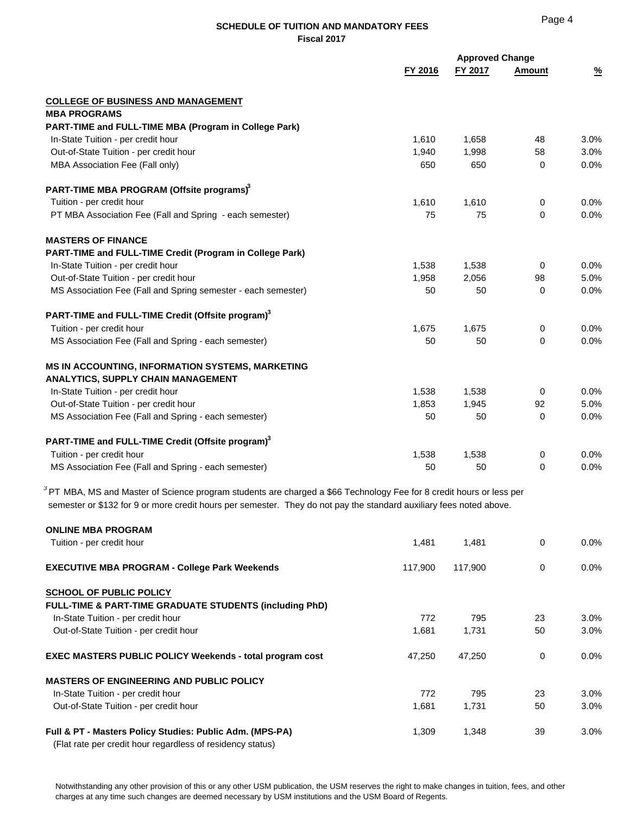|                                                                                                                                                                                                                                               | <b>Approved Change</b><br>FY 2016<br>FY 2017 |       | Amount      |      | $\frac{9}{6}$ |
|-----------------------------------------------------------------------------------------------------------------------------------------------------------------------------------------------------------------------------------------------|----------------------------------------------|-------|-------------|------|---------------|
| <b>COLLEGE OF BUSINESS AND MANAGEMENT</b>                                                                                                                                                                                                     |                                              |       |             |      |               |
| <b>MBA PROGRAMS</b>                                                                                                                                                                                                                           |                                              |       |             |      |               |
| PART-TIME and FULL-TIME MBA (Program in College Park)                                                                                                                                                                                         |                                              |       |             |      |               |
| In-State Tuition - per credit hour                                                                                                                                                                                                            | 1,610                                        | 1,658 | 48          | 3.0% |               |
| Out-of-State Tuition - per credit hour                                                                                                                                                                                                        | 1,940                                        | 1,998 | 58          | 3.0% |               |
| MBA Association Fee (Fall only)                                                                                                                                                                                                               | 650                                          | 650   | $\Omega$    | 0.0% |               |
| PART-TIME MBA PROGRAM (Offsite programs) <sup>3</sup>                                                                                                                                                                                         |                                              |       |             |      |               |
| Tuition - per credit hour                                                                                                                                                                                                                     | 1,610                                        | 1,610 | 0           | 0.0% |               |
| PT MBA Association Fee (Fall and Spring - each semester)                                                                                                                                                                                      | 75                                           | 75    | $\mathbf 0$ | 0.0% |               |
| <b>MASTERS OF FINANCE</b>                                                                                                                                                                                                                     |                                              |       |             |      |               |
| PART-TIME and FULL-TIME Credit (Program in College Park)                                                                                                                                                                                      |                                              |       |             |      |               |
| In-State Tuition - per credit hour                                                                                                                                                                                                            | 1,538                                        | 1,538 | $\Omega$    | 0.0% |               |
| Out-of-State Tuition - per credit hour                                                                                                                                                                                                        | 1,958                                        | 2,056 | 98          | 5.0% |               |
| MS Association Fee (Fall and Spring semester - each semester)                                                                                                                                                                                 | 50                                           | 50    | 0           | 0.0% |               |
| PART-TIME and FULL-TIME Credit (Offsite program) <sup>3</sup>                                                                                                                                                                                 |                                              |       |             |      |               |
| Tuition - per credit hour                                                                                                                                                                                                                     | 1,675                                        | 1,675 | 0           | 0.0% |               |
| MS Association Fee (Fall and Spring - each semester)                                                                                                                                                                                          | 50                                           | 50    | $\Omega$    | 0.0% |               |
| MS IN ACCOUNTING, INFORMATION SYSTEMS, MARKETING                                                                                                                                                                                              |                                              |       |             |      |               |
| <b>ANALYTICS, SUPPLY CHAIN MANAGEMENT</b>                                                                                                                                                                                                     |                                              |       |             |      |               |
| In-State Tuition - per credit hour                                                                                                                                                                                                            | 1,538                                        | 1,538 | 0           | 0.0% |               |
| Out-of-State Tuition - per credit hour                                                                                                                                                                                                        | 1,853                                        | 1,945 | 92          | 5.0% |               |
| MS Association Fee (Fall and Spring - each semester)                                                                                                                                                                                          | 50                                           | 50    | $\Omega$    | 0.0% |               |
| PART-TIME and FULL-TIME Credit (Offsite program) <sup>3</sup>                                                                                                                                                                                 |                                              |       |             |      |               |
| Tuition - per credit hour                                                                                                                                                                                                                     | 1,538                                        | 1,538 | 0           | 0.0% |               |
| MS Association Fee (Fall and Spring - each semester)                                                                                                                                                                                          | 50                                           | 50    | $\Omega$    | 0.0% |               |
| $3$ PT MBA, MS and Master of Science program students are charged a \$66 Technology Fee for 8 credit hours or less per<br>semester or \$132 for 9 or more credit hours per semester. They do not pay the standard auxiliary fees noted above. |                                              |       |             |      |               |

| <b>ONLINE MBA PROGRAM</b>                                          |         |         |    |         |
|--------------------------------------------------------------------|---------|---------|----|---------|
| Tuition - per credit hour                                          | 1,481   | 1,481   | 0  | $0.0\%$ |
| <b>EXECUTIVE MBA PROGRAM - College Park Weekends</b>               | 117.900 | 117.900 | 0  | $0.0\%$ |
| <b>SCHOOL OF PUBLIC POLICY</b>                                     |         |         |    |         |
| <b>FULL-TIME &amp; PART-TIME GRADUATE STUDENTS (including PhD)</b> |         |         |    |         |
| In-State Tuition - per credit hour                                 | 772     | 795     | 23 | $3.0\%$ |
| Out-of-State Tuition - per credit hour                             | 1,681   | 1,731   | 50 | 3.0%    |
| <b>EXEC MASTERS PUBLIC POLICY Weekends - total program cost</b>    | 47,250  | 47,250  | 0  | $0.0\%$ |
| <b>MASTERS OF ENGINEERING AND PUBLIC POLICY</b>                    |         |         |    |         |
| In-State Tuition - per credit hour                                 | 772     | 795     | 23 | $3.0\%$ |
| Out-of-State Tuition - per credit hour                             | 1,681   | 1,731   | 50 | $3.0\%$ |
| Full & PT - Masters Policy Studies: Public Adm. (MPS-PA)           | 1,309   | 1,348   | 39 | 3.0%    |
| (Flat rate per credit hour regardless of residency status)         |         |         |    |         |